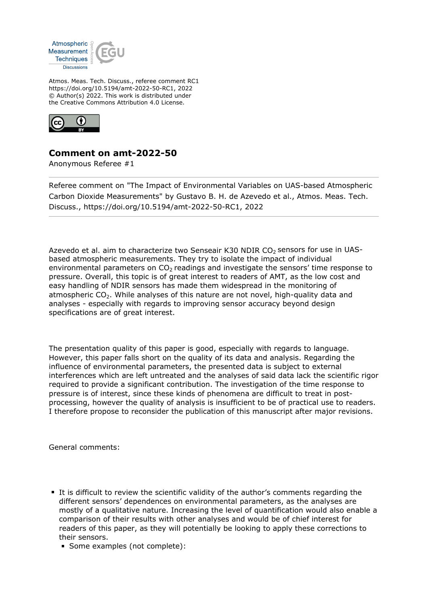

Atmos. Meas. Tech. Discuss., referee comment RC1 https://doi.org/10.5194/amt-2022-50-RC1, 2022 © Author(s) 2022. This work is distributed under the Creative Commons Attribution 4.0 License.



## **Comment on amt-2022-50**

Anonymous Referee #1

Referee comment on "The Impact of Environmental Variables on UAS-based Atmospheric Carbon Dioxide Measurements" by Gustavo B. H. de Azevedo et al., Atmos. Meas. Tech. Discuss., https://doi.org/10.5194/amt-2022-50-RC1, 2022

Azevedo et al. aim to characterize two Senseair K30 NDIR CO<sub>2</sub> sensors for use in UASbased atmospheric measurements. They try to isolate the impact of individual environmental parameters on  $CO<sub>2</sub>$  readings and investigate the sensors' time response to pressure. Overall, this topic is of great interest to readers of AMT, as the low cost and easy handling of NDIR sensors has made them widespread in the monitoring of atmospheric  $CO<sub>2</sub>$ . While analyses of this nature are not novel, high-quality data and analyses - especially with regards to improving sensor accuracy beyond design specifications are of great interest.

The presentation quality of this paper is good, especially with regards to language. However, this paper falls short on the quality of its data and analysis. Regarding the influence of environmental parameters, the presented data is subject to external interferences which are left untreated and the analyses of said data lack the scientific rigor required to provide a significant contribution. The investigation of the time response to pressure is of interest, since these kinds of phenomena are difficult to treat in postprocessing, however the quality of analysis is insufficient to be of practical use to readers. I therefore propose to reconsider the publication of this manuscript after major revisions.

General comments:

- It is difficult to review the scientific validity of the author's comments regarding the different sensors' dependences on environmental parameters, as the analyses are mostly of a qualitative nature. Increasing the level of quantification would also enable a comparison of their results with other analyses and would be of chief interest for readers of this paper, as they will potentially be looking to apply these corrections to their sensors.
	- Some examples (not complete):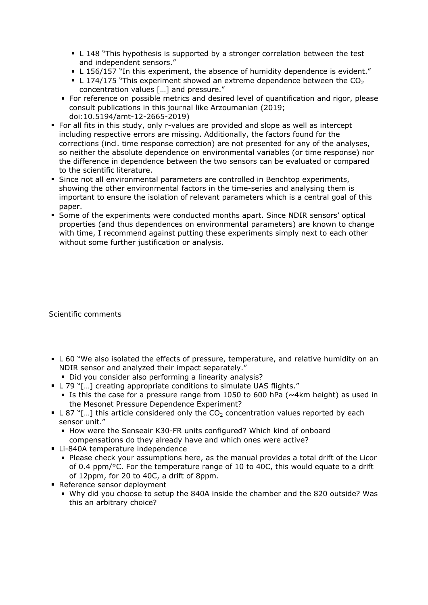- L 148 "This hypothesis is supported by a stronger correlation between the test and independent sensors."
- L 156/157 "In this experiment, the absence of humidity dependence is evident."
- L 174/175 "This experiment showed an extreme dependence between the  $CO<sub>2</sub>$ concentration values […] and pressure."
- For reference on possible metrics and desired level of quantification and rigor, please consult publications in this journal like Arzoumanian (2019; doi:10.5194/amt-12-2665-2019)
- **For all fits in this study, only r-values are provided and slope as well as intercept** including respective errors are missing. Additionally, the factors found for the corrections (incl. time response correction) are not presented for any of the analyses, so neither the absolute dependence on environmental variables (or time response) nor the difference in dependence between the two sensors can be evaluated or compared to the scientific literature.
- Since not all environmental parameters are controlled in Benchtop experiments, showing the other environmental factors in the time-series and analysing them is important to ensure the isolation of relevant parameters which is a central goal of this paper.
- Some of the experiments were conducted months apart. Since NDIR sensors' optical properties (and thus dependences on environmental parameters) are known to change with time, I recommend against putting these experiments simply next to each other without some further justification or analysis.

Scientific comments

- L 60 "We also isolated the effects of pressure, temperature, and relative humidity on an NDIR sensor and analyzed their impact separately."
	- Did you consider also performing a linearity analysis?
- L 79 "[...] creating appropriate conditions to simulate UAS flights."
	- Is this the case for a pressure range from 1050 to 600 hPa ( $\sim$ 4km height) as used in the Mesonet Pressure Dependence Experiment?
- L 87 "[...] this article considered only the  $CO<sub>2</sub>$  concentration values reported by each sensor unit."
	- How were the Senseair K30-FR units configured? Which kind of onboard compensations do they already have and which ones were active?
- Li-840A temperature independence
	- Please check your assumptions here, as the manual provides a total drift of the Licor of 0.4 ppm/°C. For the temperature range of 10 to 40C, this would equate to a drift of 12ppm, for 20 to 40C, a drift of 8ppm.
- Reference sensor deployment
	- Why did you choose to setup the 840A inside the chamber and the 820 outside? Was this an arbitrary choice?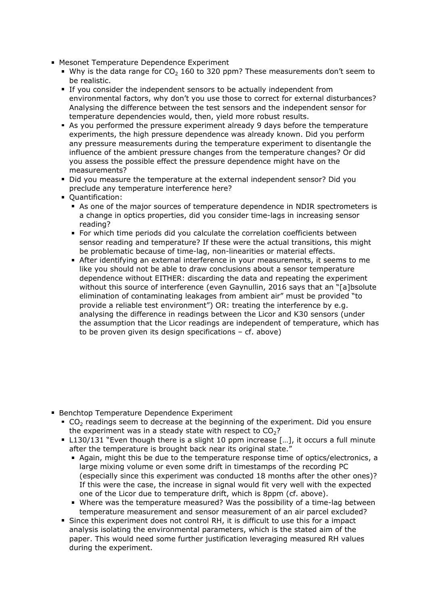- **Mesonet Temperature Dependence Experiment** 
	- Why is the data range for  $CO<sub>2</sub>$  160 to 320 ppm? These measurements don't seem to be realistic.
	- **If you consider the independent sensors to be actually independent from** environmental factors, why don't you use those to correct for external disturbances? Analysing the difference between the test sensors and the independent sensor for temperature dependencies would, then, yield more robust results.
	- As you performed the pressure experiment already 9 days before the temperature experiments, the high pressure dependence was already known. Did you perform any pressure measurements during the temperature experiment to disentangle the influence of the ambient pressure changes from the temperature changes? Or did you assess the possible effect the pressure dependence might have on the measurements?
	- Did you measure the temperature at the external independent sensor? Did you preclude any temperature interference here?
	- **Quantification:** 
		- As one of the major sources of temperature dependence in NDIR spectrometers is a change in optics properties, did you consider time-lags in increasing sensor reading?
		- For which time periods did you calculate the correlation coefficients between sensor reading and temperature? If these were the actual transitions, this might be problematic because of time-lag, non-linearities or material effects.
		- After identifying an external interference in your measurements, it seems to me like you should not be able to draw conclusions about a sensor temperature dependence without EITHER: discarding the data and repeating the experiment without this source of interference (even Gaynullin, 2016 says that an "[a]bsolute elimination of contaminating leakages from ambient air" must be provided "to provide a reliable test environment") OR: treating the interference by e.g. analysing the difference in readings between the Licor and K30 sensors (under the assumption that the Licor readings are independent of temperature, which has to be proven given its design specifications – cf. above)

- **Benchtop Temperature Dependence Experiment** 
	- CO<sub>2</sub> readings seem to decrease at the beginning of the experiment. Did you ensure the experiment was in a steady state with respect to  $CO<sub>2</sub>$ ?
	- L130/131 "Even though there is a slight 10 ppm increase […], it occurs a full minute after the temperature is brought back near its original state."
		- Again, might this be due to the temperature response time of optics/electronics, a large mixing volume or even some drift in timestamps of the recording PC (especially since this experiment was conducted 18 months after the other ones)? If this were the case, the increase in signal would fit very well with the expected one of the Licor due to temperature drift, which is 8ppm (cf. above).
		- Where was the temperature measured? Was the possibility of a time-lag between temperature measurement and sensor measurement of an air parcel excluded?
	- Since this experiment does not control RH, it is difficult to use this for a impact analysis isolating the environmental parameters, which is the stated aim of the paper. This would need some further justification leveraging measured RH values during the experiment.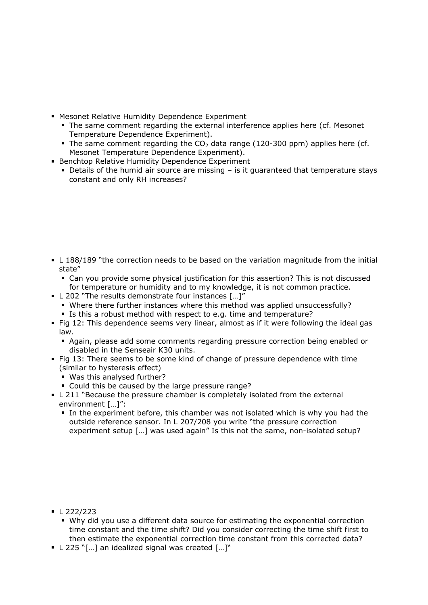- **Mesonet Relative Humidity Dependence Experiment** 
	- The same comment regarding the external interference applies here (cf. Mesonet Temperature Dependence Experiment).
	- The same comment regarding the  $CO<sub>2</sub>$  data range (120-300 ppm) applies here (cf. Mesonet Temperature Dependence Experiment).
- **Benchtop Relative Humidity Dependence Experiment** 
	- Details of the humid air source are missing is it guaranteed that temperature stays constant and only RH increases?

- L 188/189 "the correction needs to be based on the variation magnitude from the initial state"
	- Can you provide some physical justification for this assertion? This is not discussed for temperature or humidity and to my knowledge, it is not common practice.
- L 202 "The results demonstrate four instances [...]"
	- Where there further instances where this method was applied unsuccessfully?
	- Is this a robust method with respect to e.g. time and temperature?
- Fig 12: This dependence seems very linear, almost as if it were following the ideal gas law.
	- Again, please add some comments regarding pressure correction being enabled or disabled in the Senseair K30 units.
- Fig 13: There seems to be some kind of change of pressure dependence with time (similar to hysteresis effect)
	- Was this analysed further?
	- Could this be caused by the large pressure range?
- L 211 "Because the pressure chamber is completely isolated from the external environment […]":
	- In the experiment before, this chamber was not isolated which is why you had the outside reference sensor. In L 207/208 you write "the pressure correction experiment setup […] was used again" Is this not the same, non-isolated setup?

- $\blacksquare$  L 222/223
	- Why did you use a different data source for estimating the exponential correction time constant and the time shift? Did you consider correcting the time shift first to then estimate the exponential correction time constant from this corrected data?
- L 225 "[...] an idealized signal was created [...]"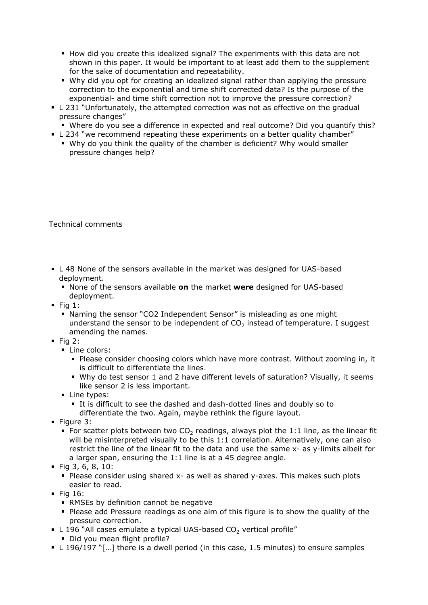- How did you create this idealized signal? The experiments with this data are not shown in this paper. It would be important to at least add them to the supplement for the sake of documentation and repeatability.
- Why did you opt for creating an idealized signal rather than applying the pressure correction to the exponential and time shift corrected data? Is the purpose of the exponential- and time shift correction not to improve the pressure correction?
- L 231 "Unfortunately, the attempted correction was not as effective on the gradual pressure changes"
	- Where do you see a difference in expected and real outcome? Did you quantify this?
- L 234 "we recommend repeating these experiments on a better quality chamber"
	- Why do you think the quality of the chamber is deficient? Why would smaller pressure changes help?

## Technical comments

- L 48 None of the sensors available in the market was designed for UAS-based deployment.
	- None of the sensors available **on** the market **were** designed for UAS-based deployment.
- $\blacksquare$  Fig 1:
	- Naming the sensor "CO2 Independent Sensor" is misleading as one might understand the sensor to be independent of  $CO<sub>2</sub>$  instead of temperature. I suggest amending the names.
- $\blacksquare$  Fig 2:
	- **Line colors:** 
		- Please consider choosing colors which have more contrast. Without zooming in, it is difficult to differentiate the lines.
		- Why do test sensor 1 and 2 have different levels of saturation? Visually, it seems like sensor 2 is less important.
	- **Line types:** 
		- It is difficult to see the dashed and dash-dotted lines and doubly so to differentiate the two. Again, maybe rethink the figure layout.
- $\blacksquare$  Figure 3:
	- For scatter plots between two  $CO<sub>2</sub>$  readings, always plot the 1:1 line, as the linear fit will be misinterpreted visually to be this 1:1 correlation. Alternatively, one can also restrict the line of the linear fit to the data and use the same x- as y-limits albeit for a larger span, ensuring the 1:1 line is at a 45 degree angle.
- Fig 3, 6, 8, 10:
	- **Please consider using shared x- as well as shared y-axes. This makes such plots** easier to read.
- $\blacksquare$  Fig 16:
	- **RMSEs by definition cannot be negative**
	- Please add Pressure readings as one aim of this figure is to show the quality of the pressure correction.
- L 196 "All cases emulate a typical UAS-based  $CO<sub>2</sub>$  vertical profile"
- Did you mean flight profile?
- $\blacksquare$  L 196/197 "[...] there is a dwell period (in this case, 1.5 minutes) to ensure samples